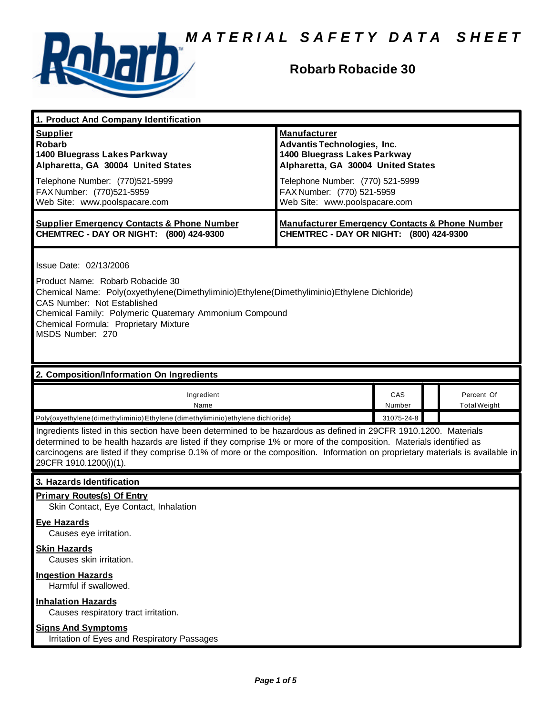

## **Robarb Robacide 30**

| 1. Product And Company Identification                                                                                                                                                                                                                                                                                                                                                             |                                                                                                                                 |               |  |                                   |
|---------------------------------------------------------------------------------------------------------------------------------------------------------------------------------------------------------------------------------------------------------------------------------------------------------------------------------------------------------------------------------------------------|---------------------------------------------------------------------------------------------------------------------------------|---------------|--|-----------------------------------|
| <b>Supplier</b><br><b>Robarb</b><br>1400 Bluegrass Lakes Parkway<br>Alpharetta, GA 30004 United States                                                                                                                                                                                                                                                                                            | <b>Manufacturer</b><br><b>Advantis Technologies, Inc.</b><br>1400 Bluegrass Lakes Parkway<br>Alpharetta, GA 30004 United States |               |  |                                   |
| Telephone Number: (770)521-5999<br>FAX Number: (770)521-5959<br>Web Site: www.poolspacare.com                                                                                                                                                                                                                                                                                                     | Telephone Number: (770) 521-5999<br>FAX Number: (770) 521-5959<br>Web Site: www.poolspacare.com                                 |               |  |                                   |
| <b>Supplier Emergency Contacts &amp; Phone Number</b><br>CHEMTREC - DAY OR NIGHT: (800) 424-9300                                                                                                                                                                                                                                                                                                  | <b>Manufacturer Emergency Contacts &amp; Phone Number</b><br>CHEMTREC - DAY OR NIGHT: (800) 424-9300                            |               |  |                                   |
| Issue Date: 02/13/2006<br>Product Name: Robarb Robacide 30<br>Chemical Name: Poly(oxyethylene(Dimethyliminio)Ethylene(Dimethyliminio)Ethylene Dichloride)<br>CAS Number: Not Established<br>Chemical Family: Polymeric Quaternary Ammonium Compound<br>Chemical Formula: Proprietary Mixture<br>MSDS Number: 270                                                                                  |                                                                                                                                 |               |  |                                   |
| 2. Composition/Information On Ingredients                                                                                                                                                                                                                                                                                                                                                         |                                                                                                                                 |               |  |                                   |
| Ingredient<br>Name                                                                                                                                                                                                                                                                                                                                                                                |                                                                                                                                 | CAS<br>Number |  | Percent Of<br><b>Total Weight</b> |
| Poly{oxyethylene (dimethyliminio) Ethylene (dimethyliminio) ethylene dichloride}                                                                                                                                                                                                                                                                                                                  |                                                                                                                                 | 31075-24-8    |  |                                   |
| Ingredients listed in this section have been determined to be hazardous as defined in 29CFR 1910.1200. Materials<br>determined to be health hazards are listed if they comprise 1% or more of the composition. Materials identified as<br>carcinogens are listed if they comprise 0.1% of more or the composition. Information on proprietary materials is available in<br>29CFR 1910.1200(i)(1). |                                                                                                                                 |               |  |                                   |
| 3. Hazards Identification                                                                                                                                                                                                                                                                                                                                                                         |                                                                                                                                 |               |  |                                   |
| <b>Primary Routes(s) Of Entry</b><br>Skin Contact, Eye Contact, Inhalation                                                                                                                                                                                                                                                                                                                        |                                                                                                                                 |               |  |                                   |
|                                                                                                                                                                                                                                                                                                                                                                                                   |                                                                                                                                 |               |  |                                   |
| <b>Eye Hazards</b><br>Causes eye irritation.                                                                                                                                                                                                                                                                                                                                                      |                                                                                                                                 |               |  |                                   |
| <b>Skin Hazards</b><br>Causes skin irritation.                                                                                                                                                                                                                                                                                                                                                    |                                                                                                                                 |               |  |                                   |
| <b>Ingestion Hazards</b><br>Harmful if swallowed.                                                                                                                                                                                                                                                                                                                                                 |                                                                                                                                 |               |  |                                   |
| <b>Inhalation Hazards</b><br>Causes respiratory tract irritation.                                                                                                                                                                                                                                                                                                                                 |                                                                                                                                 |               |  |                                   |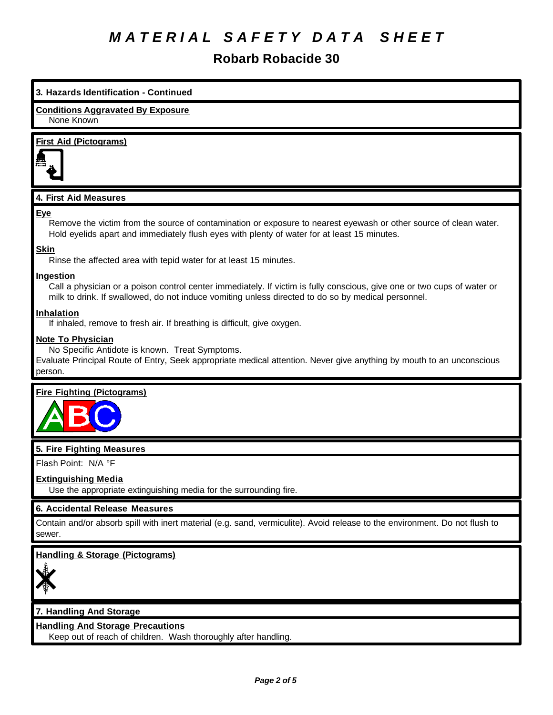## **Robarb Robacide 30**

## **3. Hazards Identification - Continued Conditions Aggravated By Exposure** None Known **First Aid (Pictograms) 4. First Aid Measures Eye** Remove the victim from the source of contamination or exposure to nearest eyewash or other source of clean water. Hold eyelids apart and immediately flush eyes with plenty of water for at least 15 minutes. **Skin** Rinse the affected area with tepid water for at least 15 minutes. **Ingestion** Call a physician or a poison control center immediately. If victim is fully conscious, give one or two cups of water or milk to drink. If swallowed, do not induce vomiting unless directed to do so by medical personnel. **Inhalation** If inhaled, remove to fresh air. If breathing is difficult, give oxygen. **Note To Physician** No Specific Antidote is known. Treat Symptoms. Evaluate Principal Route of Entry, Seek appropriate medical attention. Never give anything by mouth to an unconscious person.

## **Fire Fighting (Pictograms)**



## **5. Fire Fighting Measures**

Flash Point: N/A °F

## **Extinguishing Media**

Use the appropriate extinguishing media for the surrounding fire.

## **6. Accidental Release Measures**

Contain and/or absorb spill with inert material (e.g. sand, vermiculite). Avoid release to the environment. Do not flush to sewer.

## **Handling & Storage (Pictograms)**



## **7. Handling And Storage**

## **Handling And Storage Precautions**

Keep out of reach of children. Wash thoroughly after handling.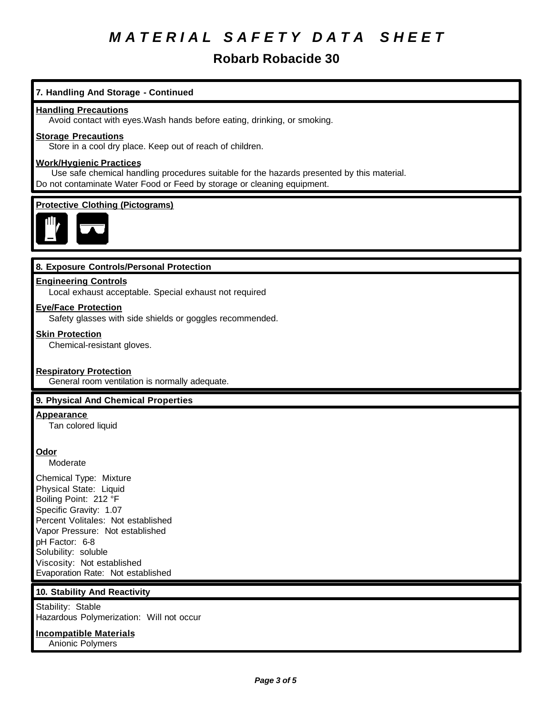## **Robarb Robacide 30**

## **7. Handling And Storage - Continued**

#### **Handling Precautions**

Avoid contact with eyes.Wash hands before eating, drinking, or smoking.

#### **Storage Precautions**

Store in a cool dry place. Keep out of reach of children.

### **Work/Hygienic Practices**

 Use safe chemical handling procedures suitable for the hazards presented by this material. Do not contaminate Water Food or Feed by storage or cleaning equipment.

#### **Protective Clothing (Pictograms)**



#### **8. Exposure Controls/Personal Protection**

#### **Engineering Controls**

Local exhaust acceptable. Special exhaust not required

### **Eye/Face Protection**

Safety glasses with side shields or goggles recommended.

#### **Skin Protection**

Chemical-resistant gloves.

#### **Respiratory Protection**

General room ventilation is normally adequate.

#### **9. Physical And Chemical Properties**

#### **Appearance**

Tan colored liquid

## **Odor**

Moderate

Chemical Type: Mixture Physical State: Liquid Boiling Point: 212 °F Specific Gravity: 1.07 Percent Volitales: Not established Vapor Pressure: Not established pH Factor: 6-8 Solubility: soluble Viscosity: Not established Evaporation Rate: Not established

## **10. Stability And Reactivity**

Stability: Stable Hazardous Polymerization: Will not occur

#### **Incompatible Materials**

Anionic Polymers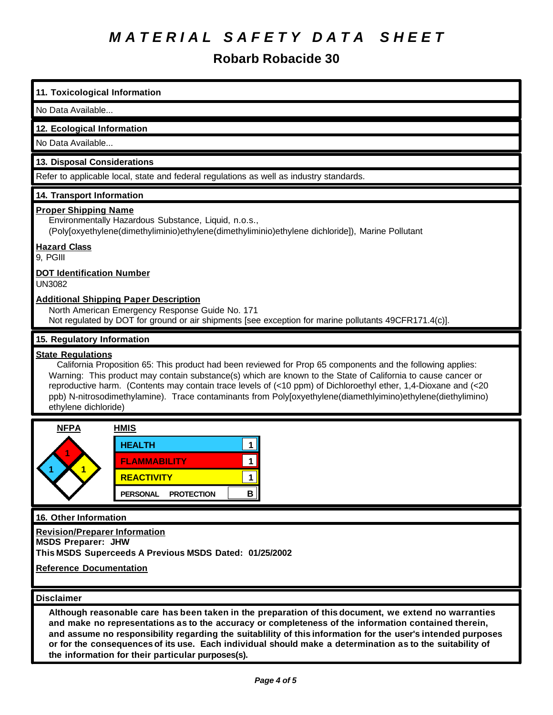**Robarb Robacide 30**

## **11. Toxicological Information**

### No Data Available...

## **12. Ecological Information**

No Data Available...

## **13. Disposal Considerations**

Refer to applicable local, state and federal regulations as well as industry standards.

## **14. Transport Information**

## **Proper Shipping Name**

Environmentally Hazardous Substance, Liquid, n.o.s.,

(Poly[oxyethylene(dimethyliminio)ethylene(dimethyliminio)ethylene dichloride]), Marine Pollutant

## **Hazard Class**

9, PGIII

## **DOT Identification Number**

UN3082

## **Additional Shipping Paper Description**

North American Emergency Response Guide No. 171 Not regulated by DOT for ground or air shipments [see exception for marine pollutants 49CFR171.4(c)].

## **15. Regulatory Information**

### **State Regulations**

 California Proposition 65: This product had been reviewed for Prop 65 components and the following applies: Warning: This product may contain substance(s) which are known to the State of California to cause cancer or reproductive harm. (Contents may contain trace levels of (<10 ppm) of Dichloroethyl ether, 1,4-Dioxane and (<20 ppb) N-nitrosodimethylamine). Trace contaminants from Poly[oxyethylene(diamethlyimino)ethylene(diethylimino) ethylene dichloride)



## **16. Other Information**

**Revision/Preparer Information**

**MSDS Preparer: JHW**

**This MSDS Superceeds A Previous MSDS Dated: 01/25/2002**

**Reference Documentation**

#### **Disclaimer**

**Although reasonable care has been taken in the preparation of this document, we extend no warranties and make no representations as to the accuracy or completeness of the information contained therein, and assume no responsibility regarding the suitablility of this information for the user's intended purposes** or for the consequences of its use. Each individual should make a determination as to the suitability of **the information for their particular purposes(s).**